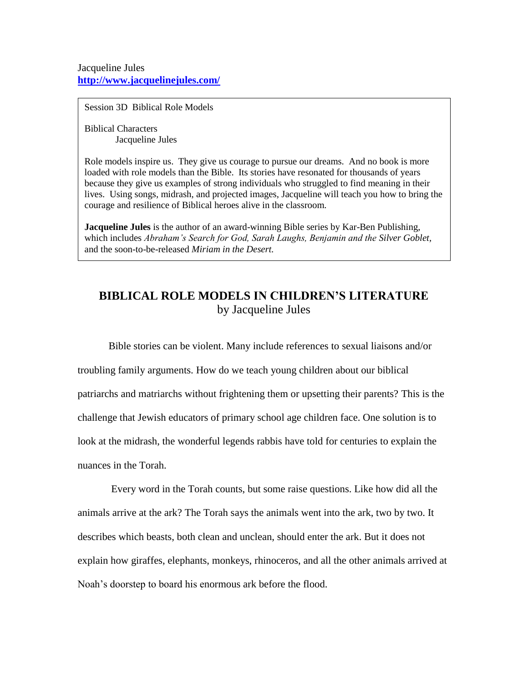Session 3D Biblical Role Models

Biblical Characters Jacqueline Jules

Role models inspire us. They give us courage to pursue our dreams. And no book is more loaded with role models than the Bible. Its stories have resonated for thousands of years because they give us examples of strong individuals who struggled to find meaning in their lives. Using songs, midrash, and projected images, Jacqueline will teach you how to bring the courage and resilience of Biblical heroes alive in the classroom.

**Jacqueline Jules** is the author of an award-winning Bible series by Kar-Ben Publishing, which includes *Abraham's Search for God, Sarah Laughs, Benjamin and the Silver Goblet,* and the soon-to-be-released *Miriam in the Desert.*

# **BIBLICAL ROLE MODELS IN CHILDREN'S LITERATURE** by Jacqueline Jules

Bible stories can be violent. Many include references to sexual liaisons and/or troubling family arguments. How do we teach young children about our biblical patriarchs and matriarchs without frightening them or upsetting their parents? This is the challenge that Jewish educators of primary school age children face. One solution is to look at the midrash, the wonderful legends rabbis have told for centuries to explain the nuances in the Torah.

Every word in the Torah counts, but some raise questions. Like how did all the animals arrive at the ark? The Torah says the animals went into the ark, two by two. It describes which beasts, both clean and unclean, should enter the ark. But it does not explain how giraffes, elephants, monkeys, rhinoceros, and all the other animals arrived at Noah's doorstep to board his enormous ark before the flood.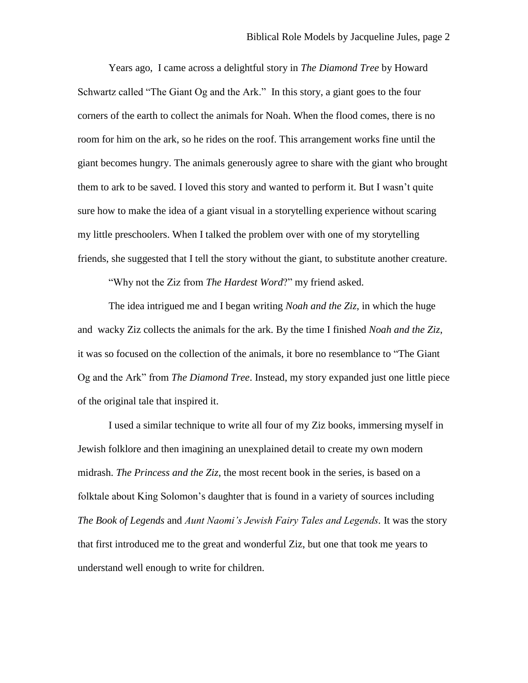Years ago, I came across a delightful story in *The Diamond Tree* by Howard Schwartz called "The Giant Og and the Ark." In this story, a giant goes to the four corners of the earth to collect the animals for Noah. When the flood comes, there is no room for him on the ark, so he rides on the roof. This arrangement works fine until the giant becomes hungry. The animals generously agree to share with the giant who brought them to ark to be saved. I loved this story and wanted to perform it. But I wasn't quite sure how to make the idea of a giant visual in a storytelling experience without scaring my little preschoolers. When I talked the problem over with one of my storytelling friends, she suggested that I tell the story without the giant, to substitute another creature.

"Why not the Ziz from *The Hardest Word*?" my friend asked.

The idea intrigued me and I began writing *Noah and the Ziz,* in which the huge and wacky Ziz collects the animals for the ark. By the time I finished *Noah and the Ziz*, it was so focused on the collection of the animals, it bore no resemblance to "The Giant Og and the Ark" from *The Diamond Tree*. Instead, my story expanded just one little piece of the original tale that inspired it.

I used a similar technique to write all four of my Ziz books, immersing myself in Jewish folklore and then imagining an unexplained detail to create my own modern midrash. *The Princess and the Ziz*, the most recent book in the series, is based on a folktale about King Solomon's daughter that is found in a variety of sources including *The Book of Legends* and *Aunt Naomi's Jewish Fairy Tales and Legends.* It was the story that first introduced me to the great and wonderful Ziz, but one that took me years to understand well enough to write for children.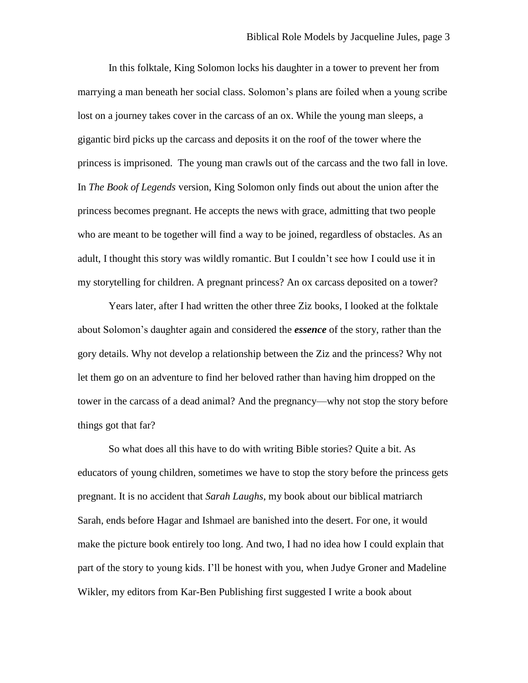In this folktale, King Solomon locks his daughter in a tower to prevent her from marrying a man beneath her social class. Solomon's plans are foiled when a young scribe lost on a journey takes cover in the carcass of an ox. While the young man sleeps, a gigantic bird picks up the carcass and deposits it on the roof of the tower where the princess is imprisoned. The young man crawls out of the carcass and the two fall in love. In *The Book of Legends* version, King Solomon only finds out about the union after the princess becomes pregnant. He accepts the news with grace, admitting that two people who are meant to be together will find a way to be joined, regardless of obstacles. As an adult, I thought this story was wildly romantic. But I couldn't see how I could use it in my storytelling for children. A pregnant princess? An ox carcass deposited on a tower?

Years later, after I had written the other three Ziz books, I looked at the folktale about Solomon's daughter again and considered the *essence* of the story, rather than the gory details. Why not develop a relationship between the Ziz and the princess? Why not let them go on an adventure to find her beloved rather than having him dropped on the tower in the carcass of a dead animal? And the pregnancy—why not stop the story before things got that far?

So what does all this have to do with writing Bible stories? Quite a bit. As educators of young children, sometimes we have to stop the story before the princess gets pregnant. It is no accident that *Sarah Laughs*, my book about our biblical matriarch Sarah, ends before Hagar and Ishmael are banished into the desert. For one, it would make the picture book entirely too long. And two, I had no idea how I could explain that part of the story to young kids. I'll be honest with you, when Judye Groner and Madeline Wikler, my editors from Kar-Ben Publishing first suggested I write a book about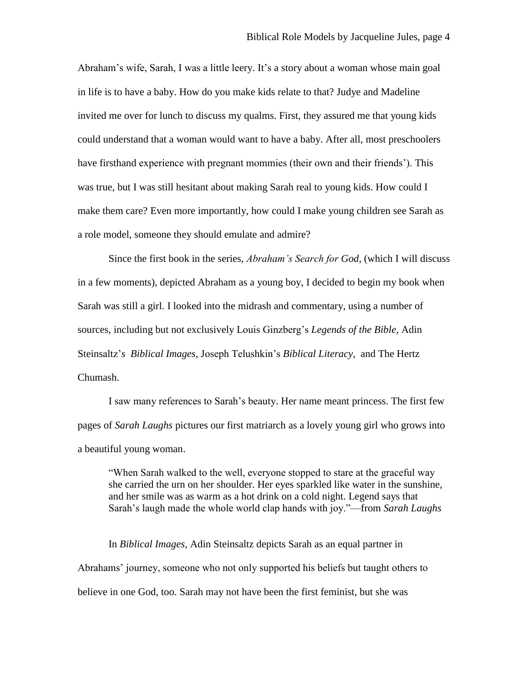Abraham's wife, Sarah, I was a little leery. It's a story about a woman whose main goal in life is to have a baby. How do you make kids relate to that? Judye and Madeline invited me over for lunch to discuss my qualms. First, they assured me that young kids could understand that a woman would want to have a baby. After all, most preschoolers have firsthand experience with pregnant mommies (their own and their friends'). This was true, but I was still hesitant about making Sarah real to young kids. How could I make them care? Even more importantly, how could I make young children see Sarah as a role model, someone they should emulate and admire?

Since the first book in the series, *Abraham's Search for God*, (which I will discuss in a few moments), depicted Abraham as a young boy, I decided to begin my book when Sarah was still a girl. I looked into the midrash and commentary, using a number of sources, including but not exclusively Louis Ginzberg's *Legends of the Bible,* Adin Steinsaltz'*s Biblical Images,* Joseph Telushkin's *Biblical Literacy*, and The Hertz Chumash.

I saw many references to Sarah's beauty. Her name meant princess. The first few pages of *Sarah Laughs* pictures our first matriarch as a lovely young girl who grows into a beautiful young woman.

"When Sarah walked to the well, everyone stopped to stare at the graceful way she carried the urn on her shoulder. Her eyes sparkled like water in the sunshine, and her smile was as warm as a hot drink on a cold night. Legend says that Sarah's laugh made the whole world clap hands with joy."—from *Sarah Laughs* 

In *Biblical Images*, Adin Steinsaltz depicts Sarah as an equal partner in Abrahams' journey, someone who not only supported his beliefs but taught others to believe in one God, too. Sarah may not have been the first feminist, but she was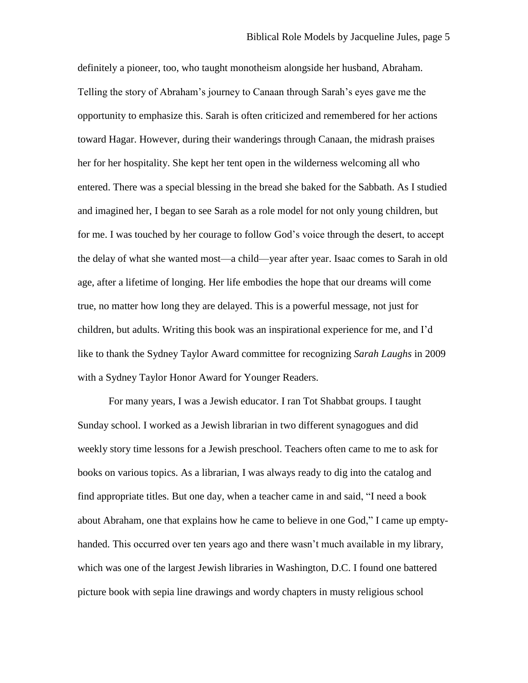definitely a pioneer, too, who taught monotheism alongside her husband, Abraham. Telling the story of Abraham's journey to Canaan through Sarah's eyes gave me the opportunity to emphasize this. Sarah is often criticized and remembered for her actions toward Hagar. However, during their wanderings through Canaan, the midrash praises her for her hospitality. She kept her tent open in the wilderness welcoming all who entered. There was a special blessing in the bread she baked for the Sabbath. As I studied and imagined her, I began to see Sarah as a role model for not only young children, but for me. I was touched by her courage to follow God's voice through the desert, to accept the delay of what she wanted most—a child—year after year. Isaac comes to Sarah in old age, after a lifetime of longing. Her life embodies the hope that our dreams will come true, no matter how long they are delayed. This is a powerful message, not just for children, but adults. Writing this book was an inspirational experience for me, and I'd like to thank the Sydney Taylor Award committee for recognizing *Sarah Laughs* in 2009 with a Sydney Taylor Honor Award for Younger Readers.

For many years, I was a Jewish educator. I ran Tot Shabbat groups. I taught Sunday school. I worked as a Jewish librarian in two different synagogues and did weekly story time lessons for a Jewish preschool. Teachers often came to me to ask for books on various topics. As a librarian, I was always ready to dig into the catalog and find appropriate titles. But one day, when a teacher came in and said, "I need a book about Abraham, one that explains how he came to believe in one God," I came up emptyhanded. This occurred over ten years ago and there wasn't much available in my library, which was one of the largest Jewish libraries in Washington, D.C. I found one battered picture book with sepia line drawings and wordy chapters in musty religious school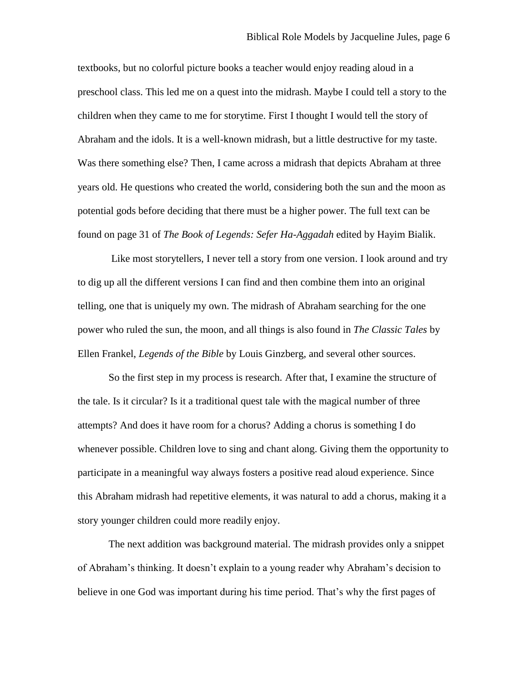textbooks, but no colorful picture books a teacher would enjoy reading aloud in a preschool class. This led me on a quest into the midrash. Maybe I could tell a story to the children when they came to me for storytime. First I thought I would tell the story of Abraham and the idols. It is a well-known midrash, but a little destructive for my taste. Was there something else? Then, I came across a midrash that depicts Abraham at three years old. He questions who created the world, considering both the sun and the moon as potential gods before deciding that there must be a higher power. The full text can be found on page 31 of *The Book of Legends: Sefer Ha-Aggadah* edited by Hayim Bialik.

Like most storytellers, I never tell a story from one version. I look around and try to dig up all the different versions I can find and then combine them into an original telling, one that is uniquely my own. The midrash of Abraham searching for the one power who ruled the sun, the moon, and all things is also found in *The Classic Tales* by Ellen Frankel, *Legends of the Bible* by Louis Ginzberg, and several other sources.

So the first step in my process is research. After that, I examine the structure of the tale. Is it circular? Is it a traditional quest tale with the magical number of three attempts? And does it have room for a chorus? Adding a chorus is something I do whenever possible. Children love to sing and chant along. Giving them the opportunity to participate in a meaningful way always fosters a positive read aloud experience. Since this Abraham midrash had repetitive elements, it was natural to add a chorus, making it a story younger children could more readily enjoy.

The next addition was background material. The midrash provides only a snippet of Abraham's thinking. It doesn't explain to a young reader why Abraham's decision to believe in one God was important during his time period. That's why the first pages of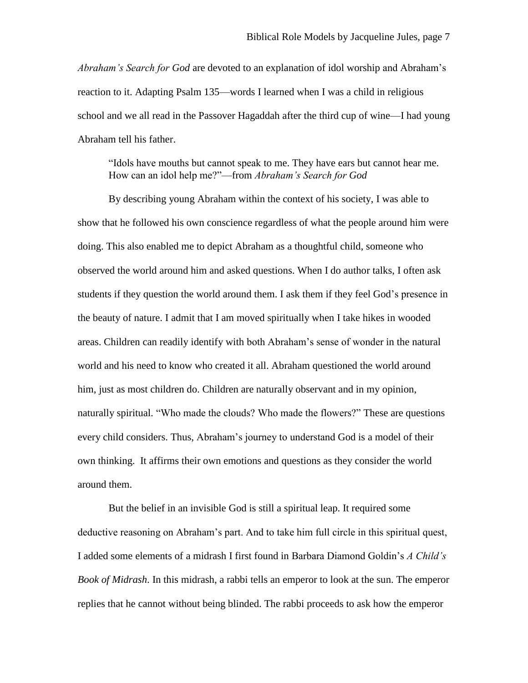*Abraham's Search for God* are devoted to an explanation of idol worship and Abraham's reaction to it. Adapting Psalm 135—words I learned when I was a child in religious school and we all read in the Passover Hagaddah after the third cup of wine—I had young Abraham tell his father.

"Idols have mouths but cannot speak to me. They have ears but cannot hear me. How can an idol help me?"—from *Abraham's Search for God*

By describing young Abraham within the context of his society, I was able to show that he followed his own conscience regardless of what the people around him were doing. This also enabled me to depict Abraham as a thoughtful child, someone who observed the world around him and asked questions. When I do author talks, I often ask students if they question the world around them. I ask them if they feel God's presence in the beauty of nature. I admit that I am moved spiritually when I take hikes in wooded areas. Children can readily identify with both Abraham's sense of wonder in the natural world and his need to know who created it all. Abraham questioned the world around him, just as most children do. Children are naturally observant and in my opinion, naturally spiritual. "Who made the clouds? Who made the flowers?" These are questions every child considers. Thus, Abraham's journey to understand God is a model of their own thinking. It affirms their own emotions and questions as they consider the world around them.

But the belief in an invisible God is still a spiritual leap. It required some deductive reasoning on Abraham's part. And to take him full circle in this spiritual quest, I added some elements of a midrash I first found in Barbara Diamond Goldin's *A Child's Book of Midrash*. In this midrash, a rabbi tells an emperor to look at the sun. The emperor replies that he cannot without being blinded. The rabbi proceeds to ask how the emperor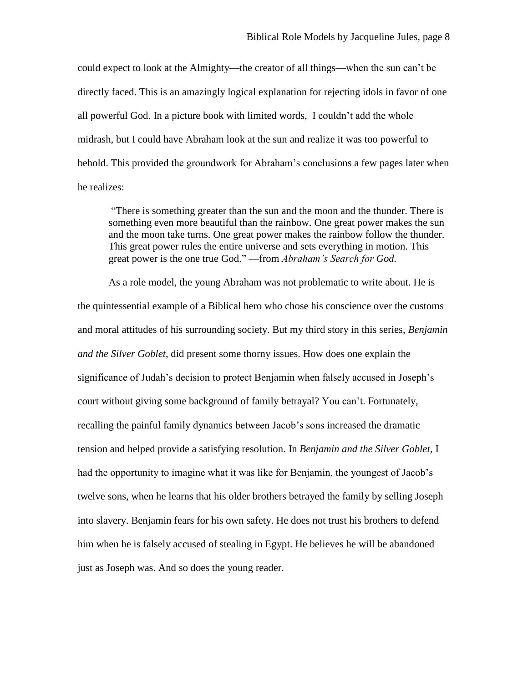could expect to look at the Almighty—the creator of all things—when the sun can't be directly faced. This is an amazingly logical explanation for rejecting idols in favor of one all powerful God. In a picture book with limited words, I couldn't add the whole midrash, but I could have Abraham look at the sun and realize it was too powerful to behold. This provided the groundwork for Abraham's conclusions a few pages later when he realizes:

"There is something greater than the sun and the moon and the thunder. There is something even more beautiful than the rainbow. One great power makes the sun and the moon take turns. One great power makes the rainbow follow the thunder. This great power rules the entire universe and sets everything in motion. This great power is the one true God." —from *Abraham's Search for God.*

As a role model, the young Abraham was not problematic to write about. He is the quintessential example of a Biblical hero who chose his conscience over the customs and moral attitudes of his surrounding society. But my third story in this series, *Benjamin and the Silver Goblet*, did present some thorny issues. How does one explain the significance of Judah's decision to protect Benjamin when falsely accused in Joseph's court without giving some background of family betrayal? You can't. Fortunately, recalling the painful family dynamics between Jacob's sons increased the dramatic tension and helped provide a satisfying resolution. In *Benjamin and the Silver Goblet,* I had the opportunity to imagine what it was like for Benjamin, the youngest of Jacob's twelve sons, when he learns that his older brothers betrayed the family by selling Joseph into slavery. Benjamin fears for his own safety. He does not trust his brothers to defend him when he is falsely accused of stealing in Egypt. He believes he will be abandoned just as Joseph was. And so does the young reader.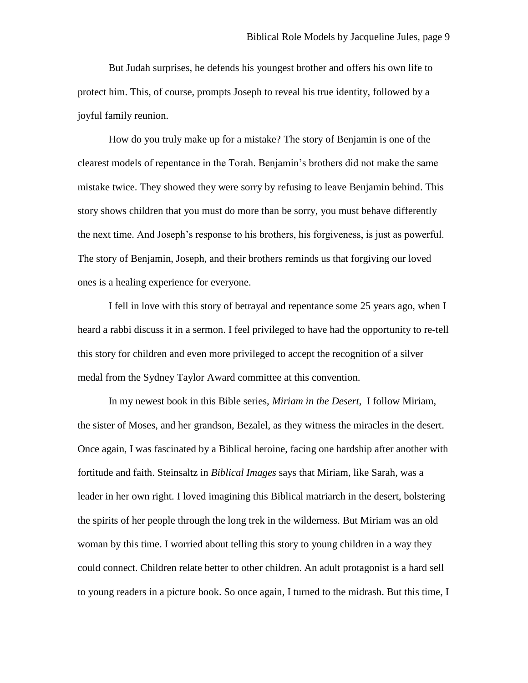But Judah surprises, he defends his youngest brother and offers his own life to protect him. This, of course, prompts Joseph to reveal his true identity, followed by a joyful family reunion.

How do you truly make up for a mistake? The story of Benjamin is one of the clearest models of repentance in the Torah. Benjamin's brothers did not make the same mistake twice. They showed they were sorry by refusing to leave Benjamin behind. This story shows children that you must do more than be sorry, you must behave differently the next time. And Joseph's response to his brothers, his forgiveness, is just as powerful. The story of Benjamin, Joseph, and their brothers reminds us that forgiving our loved ones is a healing experience for everyone.

I fell in love with this story of betrayal and repentance some 25 years ago, when I heard a rabbi discuss it in a sermon. I feel privileged to have had the opportunity to re-tell this story for children and even more privileged to accept the recognition of a silver medal from the Sydney Taylor Award committee at this convention.

In my newest book in this Bible series, *Miriam in the Desert*, I follow Miriam, the sister of Moses, and her grandson, Bezalel, as they witness the miracles in the desert. Once again, I was fascinated by a Biblical heroine, facing one hardship after another with fortitude and faith. Steinsaltz in *Biblical Images* says that Miriam, like Sarah, was a leader in her own right. I loved imagining this Biblical matriarch in the desert, bolstering the spirits of her people through the long trek in the wilderness. But Miriam was an old woman by this time. I worried about telling this story to young children in a way they could connect. Children relate better to other children. An adult protagonist is a hard sell to young readers in a picture book. So once again, I turned to the midrash. But this time, I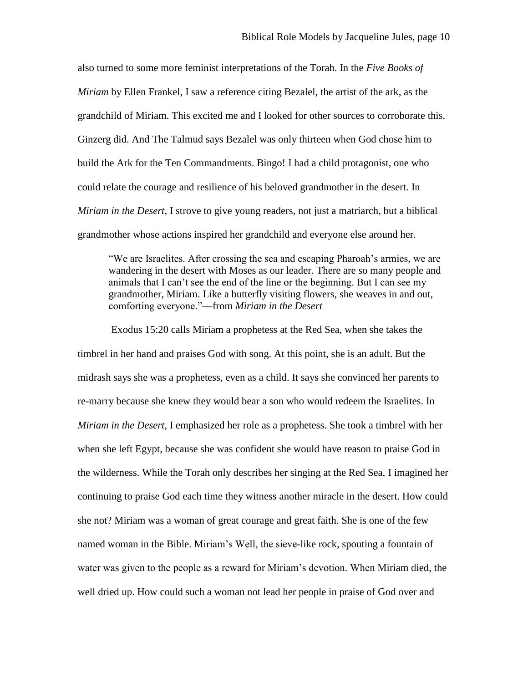also turned to some more feminist interpretations of the Torah. In the *Five Books of Miriam* by Ellen Frankel, I saw a reference citing Bezalel, the artist of the ark, as the grandchild of Miriam. This excited me and I looked for other sources to corroborate this. Ginzerg did. And The Talmud says Bezalel was only thirteen when God chose him to build the Ark for the Ten Commandments. Bingo! I had a child protagonist, one who could relate the courage and resilience of his beloved grandmother in the desert. In *Miriam in the Desert*, I strove to give young readers, not just a matriarch, but a biblical grandmother whose actions inspired her grandchild and everyone else around her.

"We are Israelites. After crossing the sea and escaping Pharoah's armies, we are wandering in the desert with Moses as our leader. There are so many people and animals that I can't see the end of the line or the beginning. But I can see my grandmother, Miriam. Like a butterfly visiting flowers, she weaves in and out, comforting everyone."—from *Miriam in the Desert* 

Exodus 15:20 calls Miriam a prophetess at the Red Sea, when she takes the timbrel in her hand and praises God with song. At this point, she is an adult. But the midrash says she was a prophetess, even as a child. It says she convinced her parents to re-marry because she knew they would bear a son who would redeem the Israelites. In *Miriam in the Desert*, I emphasized her role as a prophetess. She took a timbrel with her when she left Egypt, because she was confident she would have reason to praise God in the wilderness. While the Torah only describes her singing at the Red Sea, I imagined her continuing to praise God each time they witness another miracle in the desert. How could she not? Miriam was a woman of great courage and great faith. She is one of the few named woman in the Bible. Miriam's Well, the sieve-like rock, spouting a fountain of water was given to the people as a reward for Miriam's devotion. When Miriam died, the well dried up. How could such a woman not lead her people in praise of God over and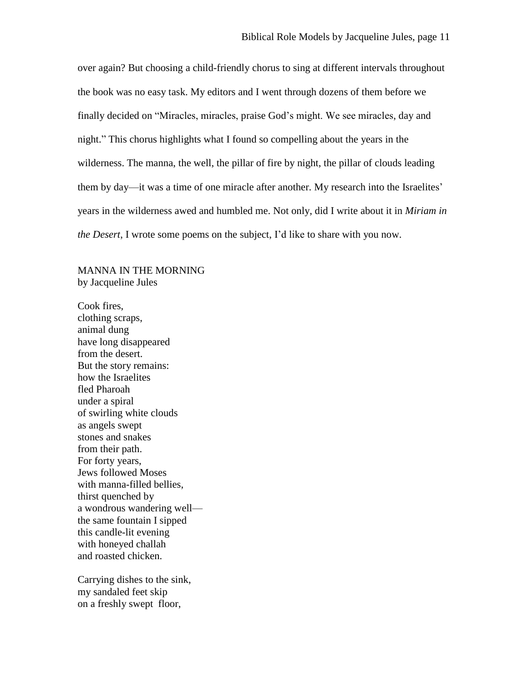over again? But choosing a child-friendly chorus to sing at different intervals throughout the book was no easy task. My editors and I went through dozens of them before we finally decided on "Miracles, miracles, praise God's might. We see miracles, day and night." This chorus highlights what I found so compelling about the years in the wilderness. The manna, the well, the pillar of fire by night, the pillar of clouds leading them by day—it was a time of one miracle after another. My research into the Israelites' years in the wilderness awed and humbled me. Not only, did I write about it in *Miriam in the Desert*, I wrote some poems on the subject, I'd like to share with you now.

MANNA IN THE MORNING by Jacqueline Jules

Cook fires, clothing scraps, animal dung have long disappeared from the desert. But the story remains: how the Israelites fled Pharoah under a spiral of swirling white clouds as angels swept stones and snakes from their path. For forty years, Jews followed Moses with manna-filled bellies, thirst quenched by a wondrous wandering well the same fountain I sipped this candle-lit evening with honeyed challah and roasted chicken.

Carrying dishes to the sink, my sandaled feet skip on a freshly swept floor,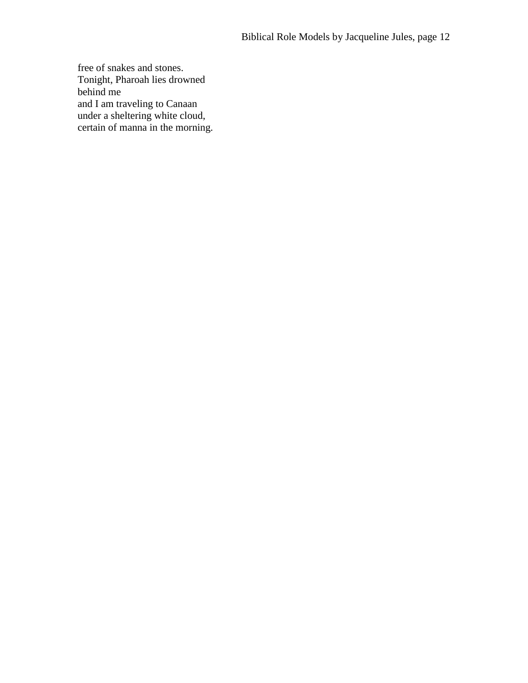free of snakes and stones. Tonight, Pharoah lies drowned behind me and I am traveling to Canaan under a sheltering white cloud, certain of manna in the morning.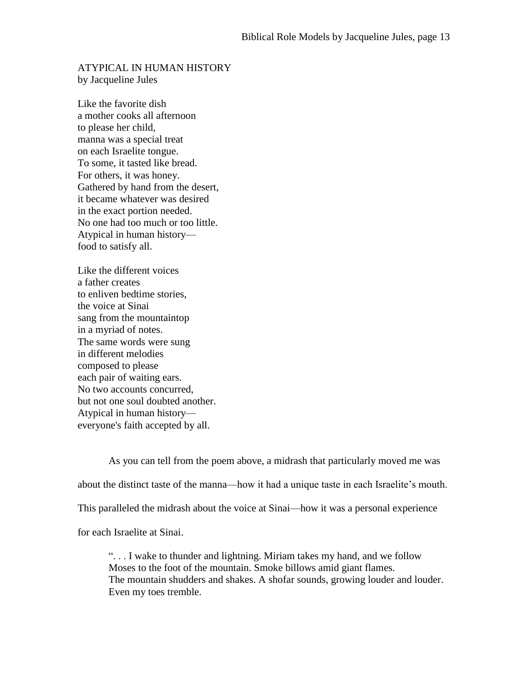## ATYPICAL IN HUMAN HISTORY by Jacqueline Jules

Like the favorite dish a mother cooks all afternoon to please her child, manna was a special treat on each Israelite tongue. To some, it tasted like bread. For others, it was honey. Gathered by hand from the desert, it became whatever was desired in the exact portion needed. No one had too much or too little. Atypical in human history food to satisfy all.

Like the different voices a father creates to enliven bedtime stories, the voice at Sinai sang from the mountaintop in a myriad of notes. The same words were sung in different melodies composed to please each pair of waiting ears. No two accounts concurred, but not one soul doubted another. Atypical in human history everyone's faith accepted by all.

As you can tell from the poem above, a midrash that particularly moved me was about the distinct taste of the manna—how it had a unique taste in each Israelite's mouth. This paralleled the midrash about the voice at Sinai—how it was a personal experience for each Israelite at Sinai.

". . . I wake to thunder and lightning. Miriam takes my hand, and we follow Moses to the foot of the mountain. Smoke billows amid giant flames. The mountain shudders and shakes. A shofar sounds, growing louder and louder. Even my toes tremble.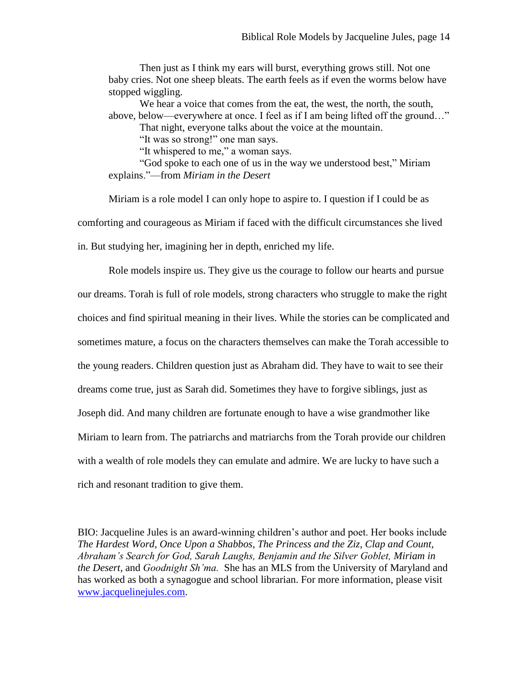Then just as I think my ears will burst, everything grows still. Not one baby cries. Not one sheep bleats. The earth feels as if even the worms below have stopped wiggling.

We hear a voice that comes from the eat, the west, the north, the south, above, below—everywhere at once. I feel as if I am being lifted off the ground…"

That night, everyone talks about the voice at the mountain.

"It was so strong!" one man says.

"It whispered to me," a woman says.

"God spoke to each one of us in the way we understood best," Miriam explains."—from *Miriam in the Desert*

Miriam is a role model I can only hope to aspire to. I question if I could be as comforting and courageous as Miriam if faced with the difficult circumstances she lived in. But studying her, imagining her in depth, enriched my life.

Role models inspire us. They give us the courage to follow our hearts and pursue our dreams. Torah is full of role models, strong characters who struggle to make the right choices and find spiritual meaning in their lives. While the stories can be complicated and sometimes mature, a focus on the characters themselves can make the Torah accessible to the young readers. Children question just as Abraham did. They have to wait to see their dreams come true, just as Sarah did. Sometimes they have to forgive siblings, just as Joseph did. And many children are fortunate enough to have a wise grandmother like Miriam to learn from. The patriarchs and matriarchs from the Torah provide our children with a wealth of role models they can emulate and admire. We are lucky to have such a rich and resonant tradition to give them.

BIO: Jacqueline Jules is an award-winning children's author and poet. Her books include *The Hardest Word, Once Upon a Shabbos, The Princess and the Ziz, Clap and Count, Abraham's Search for God, Sarah Laughs, Benjamin and the Silver Goblet, Miriam in the Desert,* and *Goodnight Sh'ma.* She has an MLS from the University of Maryland and has worked as both a synagogue and school librarian. For more information, please visit [www.jacquelinejules.com.](http://www.jacquelinejules.com/)